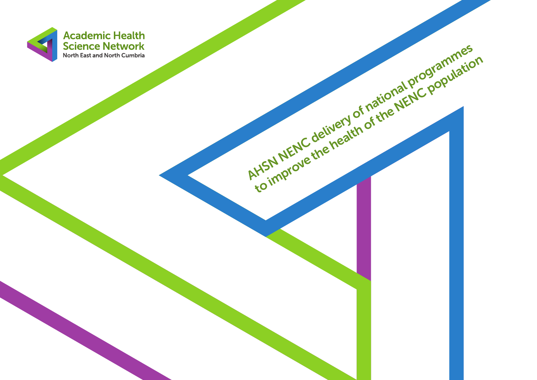

AHSN NENC delivery of national programmes

the improve the health of the NENC population<br>to improve the health of the NENC population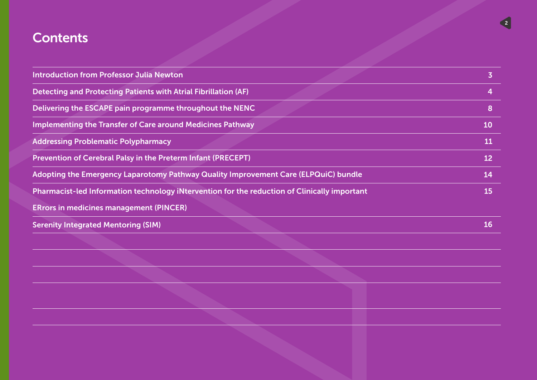### **Contents**

| <b>Introduction from Professor Julia Newton</b>                                              | $\overline{\mathbf{3}}$ |
|----------------------------------------------------------------------------------------------|-------------------------|
| <b>Detecting and Protecting Patients with Atrial Fibrillation (AF)</b>                       | $\overline{4}$          |
| Delivering the ESCAPE pain programme throughout the NENC                                     | 8                       |
| <b>Implementing the Transfer of Care around Medicines Pathway</b>                            | 10                      |
| <b>Addressing Problematic Polypharmacy</b>                                                   | <b>11</b>               |
| Prevention of Cerebral Palsy in the Preterm Infant (PRECEPT)                                 | 12                      |
| Adopting the Emergency Laparotomy Pathway Quality Improvement Care (ELPQuiC) bundle          | 14                      |
| Pharmacist-led Information technology iNtervention for the reduction of Clinically important | 15                      |
| <b>ERrors in medicines management (PINCER)</b>                                               |                         |
| <b>Serenity Integrated Mentoring (SIM)</b>                                                   | 16                      |
|                                                                                              |                         |
|                                                                                              |                         |
|                                                                                              |                         |
|                                                                                              |                         |
|                                                                                              |                         |

2 3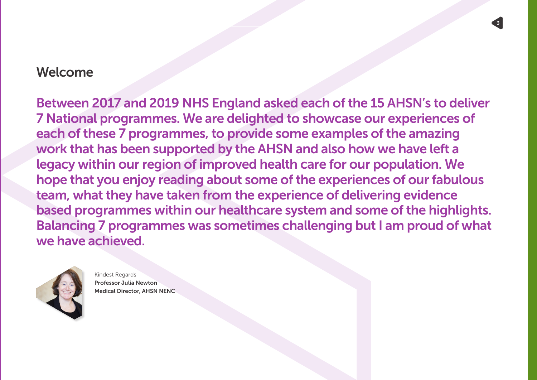### Welcome

Between 2017 and 2019 NHS England asked each of the 15 AHSN's to deliver 7 National programmes. We are delighted to showcase our experiences of each of these 7 programmes, to provide some examples of the amazing work that has been supported by the AHSN and also how we have left a legacy within our region of improved health care for our population. We hope that you enjoy reading about some of the experiences of our fabulous team, what they have taken from the experience of delivering evidence based programmes within our healthcare system and some of the highlights. Balancing 7 programmes was sometimes challenging but I am proud of what we have achieved.

 $2^3$  3  $2^3$  3  $2^3$  3  $2^3$  3  $2^3$  3  $2^3$  3  $2^3$  3  $2^3$  3  $2^3$  3  $2^3$  3  $2^3$  3  $2^3$  3  $2^3$  3  $2^3$  3  $2^3$  3  $2^3$  3  $2^3$  3  $2^3$  3  $2^3$  3  $2^3$  3  $2^3$  3  $2^3$  3  $2^3$  3  $2^3$  3  $2^3$  3  $2^3$  3  $2^3$  3  $2^3$ 



Kindest Regards Professor Julia Newton Medical Director, AHSN NENC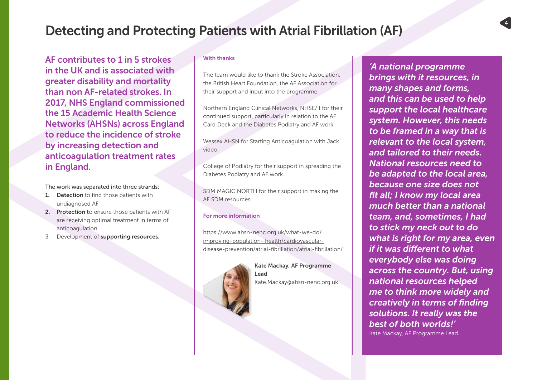AF contributes to 1 in 5 strokes in the UK and is associated with greater disability and mortality than non AF-related strokes. In 2017, NHS England commissioned the 15 Academic Health Science Networks (AHSNs) across England to reduce the incidence of stroke by increasing detection and anticoagulation treatment rates in England.

The work was separated into three strands:

- 1. Detection to find those patients with undiagnosed AF
- 2. Protection to ensure those patients with AF are receiving optimal treatment in terms of anticoagulation
- 3. Development of supporting resources.

#### With thanks

The team would like to thank the Stroke Association, the British Heart Foundation, the AF Association for their support and input into the programme.

Northern England Clinical Networks, NHSE/ I for their continued support, particularly in relation to the AF Card Deck and the Diabetes Podiatry and AF work.

Wessex AHSN for Starting Anticoagulation with Jack video.

College of Podiatry for their support in spreading the Diabetes Podiatry and AF work.

SDM MAGIC NORTH for their support in making the AF SDM resources.

#### For more information

https://www.ahsn-nenc.org.uk/what-we-do/ improving-population- health/cardiovasculardisease-prevention/atrial-fibrillation/atrial-fibrillation/



Kate Mackay, AF Programme Lead Kate.Mackay@ahsn-nenc.org.uk

*'A national programme brings with it resources, in many shapes and forms, and this can be used to help support the local healthcare system. However, this needs to be framed in a way that is relevant to the local system, and tailored to their needs. National resources need to be adapted to the local area, because one size does not fit all; I know my local area much better than a national team, and, sometimes, I had to stick my neck out to do what is right for my area, even if it was different to what everybody else was doing across the country. But, using national resources helped me to think more widely and creatively in terms of finding solutions. It really was the best of both worlds!'* Kate Mackay, AF Programme Lead.

4 5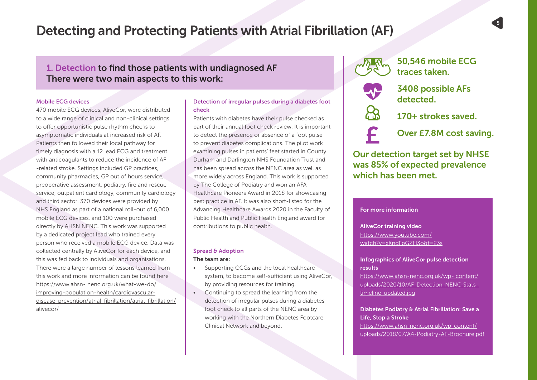### 1. Detection to find those patients with undiagnosed AF There were two main aspects to this work:

#### Mobile ECG devices

470 mobile ECG devices, AliveCor, were distributed to a wide range of clinical and non-clinical settings to offer opportunistic pulse rhythm checks to asymptomatic individuals at increased risk of AF. Patients then followed their local pathway for timely diagnosis with a 12 lead ECG and treatment with anticoagulants to reduce the incidence of AF -related stroke. Settings included GP practices, community pharmacies, GP out of hours service, preoperative assessment, podiatry, fire and rescue service, outpatient cardiology, community cardiology and third sector. 370 devices were provided by NHS England as part of a national roll-out of 6,000 mobile ECG devices, and 100 were purchased directly by AHSN NENC. This work was supported by a dedicated project lead who trained every person who received a mobile ECG device. Data was collected centrally by AliveCor for each device, and this was fed back to individuals and organisations. There were a large number of lessons learned from this work and more information can be found here https://www.ahsn- nenc.org.uk/what-we-do/ improving-population-health/cardiovasculardisease-prevention/atrial-fibrillation/atrial-fibrillation/ alivecor/

#### Detection of irregular pulses during a diabetes foot check

Patients with diabetes have their pulse checked as part of their annual foot check review. It is important to detect the presence or absence of a foot pulse to prevent diabetes complications. The pilot work examining pulses in patients' feet started in County Durham and Darlington NHS Foundation Trust and has been spread across the NENC area as well as more widely across England. This work is supported by The College of Podiatry and won an AFA Healthcare Pioneers Award in 2018 for showcasing best practice in AF. It was also short-listed for the Advancing Healthcare Awards 2020 in the Faculty of Public Health and Public Health England award for contributions to public health.

#### Spread & Adoption The team are:

- Supporting CCGs and the local healthcare system, to become self-sufficient using AliveCor, by providing resources for training.
- Continuing to spread the learning from the detection of irregular pulses during a diabetes foot check to all parts of the NENC area by working with the Northern Diabetes Footcare Clinical Network and beyond.



50,546 mobile ECG traces taken.



3408 possible AFs detected.

170+ strokes saved.

Over £7.8M cost saving.

Our detection target set by NHSE was 85% of expected prevalence which has been met.

#### For more information

AliveCor training video https://www.youtube.com/ watch?v=xKndFpGZH3o&t=23s

#### Infographics of AliveCor pulse detection results

https://www.ahsn-nenc.org.uk/wp- content/ uploads/2020/10/AF-Detection-NENC-Statstimeline-updated.jpg

#### Diabetes Podiatry & Atrial Fibrillation: Save a Life, Stop a Stroke

https://www.ahsn-nenc.org.uk/wp-content/ uploads/2018/07/A4-Podiatry-AF-Brochure.pdf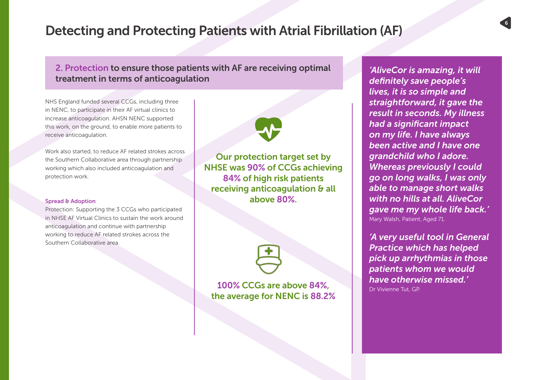#### 2. Protection to ensure those patients with AF are receiving optimal treatment in terms of anticoagulation

NHS England funded several CCGs, including three in NENC, to participate in their AF virtual clinics to increase anticoagulation. AHSN NENC supported this work, on the ground, to enable more patients to receive anticoagulation.

Work also started, to reduce AF related strokes across the Southern Collaborative area through partnership working which also included anticoagulation and protection work.

#### Spread & Adoption

Protection: Supporting the 3 CCGs who participated in NHSE AF Virtual Clinics to sustain the work around anticoagulation and continue with partnership working to reduce AF related strokes across the Southern Collaborative area.

Our protection target set by NHSE was 90% of CCGs achieving 84% of high risk patients receiving anticoagulation & all above 80%.



100% CCGs are above 84%, the average for NENC is 88.2%

*'AliveCor is amazing, it will definitely save people's lives, it is so simple and straightforward, it gave the result in seconds. My illness had a significant impact on my life. I have always been active and I have one grandchild who I adore. Whereas previously I could go on long walks, I was only able to manage short walks with no hills at all. AliveCor gave me my whole life back.'* Mary Walsh, Patient, Aged 71.

*'A very useful tool in General Practice which has helped pick up arrhythmias in those patients whom we would have otherwise missed.'* Dr Vivienne Tut, GP.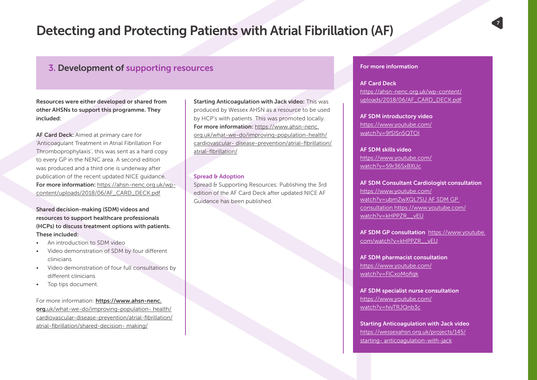#### 3. Development of supporting resources

Resources were either developed or shared from other AHSNs to support this programme. They included:

AF Card Deck: Aimed at primary care for 'Anticoagulant Treatment in Atrial Fibrillation For Thromboprophylaxis', this was sent as a hard copy to every GP in the NENC area. A second edition was produced and a third one is underway after publication of the recent updated NICE guidance. For more information: https://ahsn-nenc.org.uk/wpcontent/uploads/2018/06/AF\_CARD\_DECK.pdf

Shared decision-making (SDM) videos and resources to support healthcare professionals (HCPs) to discuss treatment options with patients. These included:

- An introduction to SDM video
- Video demonstration of SDM by four different clinicians
- Video demonstration of four full consultations by different clinicians
- Top tips document.

For more information: https://www.ahsn-nenc. org.uk/what-we-do/improving-population- health/ cardiovascular-disease-prevention/atrial-fibrillation/ atrial-fibrillation/shared-decision- making/

Starting Anticoagulation with Jack video: This was produced by Wessex AHSN as a resource to be used by HCP's with patients. This was promoted locally. For more information: https://www.ahsn-nenc. org.uk/what-we-do/improving-population-health/ cardiovascular- disease-prevention/atrial-fibrillation/ atrial-fibrillation/

#### Spread & Adoption

Spread & Supporting Resources: Publishing the 3rd edition of the AF Card Deck after updated NICE AF Guidance has been published.

#### For more information

AF Card Deck https://ahsn-nenc.org.uk/wp-content/ uploads/2018/06/AF\_CARD\_DECK.pdf

AF SDM introductory video https://www.youtube.com/ watch?v=9fSISn5QTOI

AF SDM skills video https://www.youtube.com/ watch?v=59r36SxBXUc

AF SDM Consultant Cardiologist consultation https://www.youtube.com/ watch?v=ubmZwXQL7SU AF SDM GP consultation https://www.youtube.com/ watch?v=kHPPZR\_\_vEU

AF SDM GP consultation https://www.youtube. com/watch?v=kHPPZR\_\_vEU

AF SDM pharmacist consultation https://www.youtube.com/ watch?v=FlCxoMofigk

AF SDM specialist nurse consultation https://www.youtube.com/ watch?v=hivTRJQnb3c

Starting Anticoagulation with Jack video https://wessexahsn.org.uk/projects/145/ starting- anticoagulation-with-jack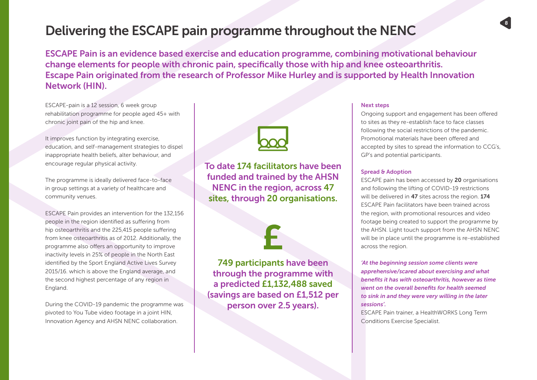### Delivering the ESCAPE pain programme throughout the NENC

ESCAPE Pain is an evidence based exercise and education programme, combining motivational behaviour change elements for people with chronic pain, specifically those with hip and knee osteoarthritis. Escape Pain originated from the research of Professor Mike Hurley and is supported by Health Innovation Network (HIN).

ESCAPE-pain is a 12 session, 6 week group rehabilitation programme for people aged 45+ with chronic joint pain of the hip and knee.

It improves function by integrating exercise, education, and self-management strategies to dispel inappropriate health beliefs, alter behaviour, and encourage regular physical activity.

The programme is ideally delivered face-to-face in group settings at a variety of healthcare and community venues.

ESCAPE Pain provides an intervention for the 132,156 people in the region identified as suffering from hip osteoarthritis and the 225,415 people suffering from knee osteoarthritis as of 2012. Additionally, the programme also offers an opportunity to improve inactivity levels in 25% of people in the North East identified by the Sport England Active Lives Survey 2015/16. which is above the England average, and the second highest percentage of any region in England.

During the COVID-19 pandemic the programme was pivoted to You Tube video footage in a joint HIN, Innovation Agency and AHSN NENC collaboration.



To date 174 facilitators have been funded and trained by the AHSN NENC in the region, across 47 sites, through 20 organisations.



749 participants have been through the programme with a predicted £1,132,488 saved (savings are based on £1,512 per person over 2.5 years).

#### Next steps

Ongoing support and engagement has been offered to sites as they re-establish face to face classes following the social restrictions of the pandemic. Promotional materials have been offered and accepted by sites to spread the information to CCG's, GP's and potential participants.

8 9

#### Spread & Adoption

ESCAPE pain has been accessed by 20 organisations and following the lifting of COVID-19 restrictions will be delivered in 47 sites across the region. 174 ESCAPE Pain facilitators have been trained across the region, with promotional resources and video footage being created to support the programme by the AHSN. Light touch support from the AHSN NENC will be in place until the programme is re-established across the region.

*'At the beginning session some clients were apprehensive/scared about exercising and what benefits it has with osteoarthritis, however as time went on the overall benefits for health seemed to sink in and they were very willing in the later sessions'.* 

ESCAPE Pain trainer, a HealthWORKS Long Term Conditions Exercise Specialist.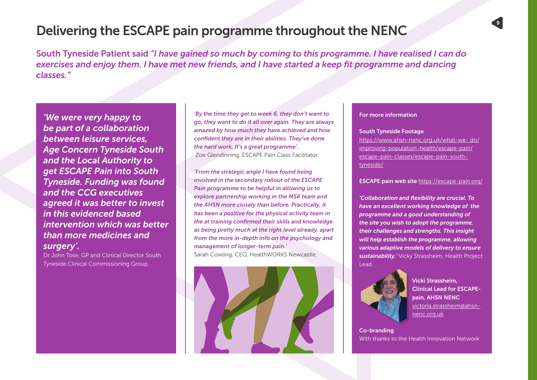### **Delivering the ESCAPE pain programme throughout the NENC**

South Tyneside Patient said *"I have gained so much by coming to this programme. I have realised I can do exercises and enjoy them. I have met new friends, and I have started a keep fit programme and dancing classes."*

*'We were very happy to be part of a collaboration between leisure services, Age Concern Tyneside South and the Local Authority to get ESCAPE Pain into South Tyneside. Funding was found and the CCG executives agreed it was better to invest in this evidenced based intervention which was better than more medicines and surgery'.* 

Dr John Tose, GP and Clinical Director South Tyneside Clinical Commissioning Group.

*'By the time they get to week 6, they don't want to go, they want to do it all over again. They are always amazed by how much they have achieved and how confident they are in their abilities. They've done the hard work. It's a great programme'.* Zoe Glendinning, ESCAPE Pain Class Facilitator.

*'From the strategic angle I have found being involved in the secondary rollout of the ESCAPE Pain programme to be helpful in allowing us to explore partnership working in the MSK team and the AHSN more closely than before. Practically, it has been a positive for the physical activity team in the at training confirmed their skills and knowledge as being pretty much at the right level already, apart from the more in-depth info on the psychology and management of longer-term pain.'*  Sarah Cowling, CEO, HealthWORKS Newcastle.



#### For more information

#### South Tyneside Footage

https://www.ahsn-nenc.org.uk/what-we- do/ improving-population-health/escape-pain/ escape-pain-classes/escape-pain-southtyneside/

ESCAPE pain web site https://escape-pain.org/

*'Collaboration and flexibility are crucial. To have an excellent working knowledge of the programme and a good understanding of the site you wish to adopt the programme, their challenges and strengths. This insight will help establish the programme, allowing various adaptive models of delivery to ensure sustainability.'* Vicky Strassheim, Health Project Lead.



Vicki Strassheim, Clinical Lead for ESCAPEpain, AHSN NENC victoria.strassheim@ahsnnenc.org.uk

Co-branding With thanks to the Health Innovation Network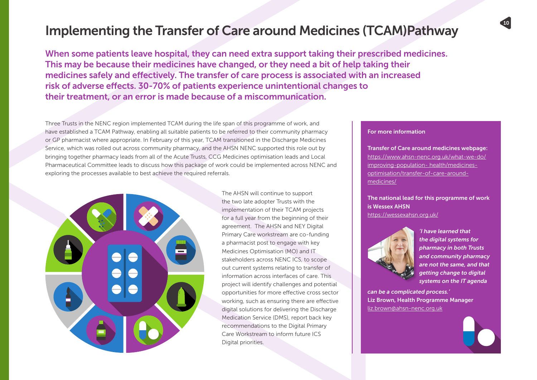### Implementing the Transfer of Care around Medicines (TCAM)Pathway

When some patients leave hospital, they can need extra support taking their prescribed medicines. This may be because their medicines have changed, or they need a bit of help taking their medicines safely and effectively. The transfer of care process is associated with an increased risk of adverse effects. 30-70% of patients experience unintentional changes to their treatment, or an error is made because of a miscommunication.

Three Trusts in the NENC region implemented TCAM during the life span of this programme of work, and have established a TCAM Pathway, enabling all suitable patients to be referred to their community pharmacy or GP pharmacist where appropriate. In February of this year, TCAM transitioned in the Discharge Medicines Service, which was rolled out across community pharmacy, and the AHSN NENC supported this role out by bringing together pharmacy leads from all of the Acute Trusts, CCG Medicines optimisation leads and Local Pharmaceutical Committee leads to discuss how this package of work could be implemented across NENC and exploring the processes available to best achieve the required referrals.



The AHSN will continue to support the two late adopter Trusts with the implementation of their TCAM projects for a full year from the beginning of their agreement. The AHSN and NEY Digital Primary Care workstream are co-funding a pharmacist post to engage with key Medicines Optimisation (MO) and IT stakeholders across NENC ICS, to scope out current systems relating to transfer of information across interfaces of care. This project will identify challenges and potential opportunities for more effective cross sector working, such as ensuring there are effective digital solutions for delivering the Discharge Medication Service (DMS), report back key recommendations to the Digital Primary Care Workstream to inform future ICS Digital priorities.

#### For more information

Transfer of Care around medicines webpage: https://www.ahsn-nenc.org.uk/what-we-do/ improving-population- health/medicinesoptimisation/transfer-of-care-aroundmedicines/

The national lead for this programme of work is Wessex AHSN https://wessexahsn.org.uk/



*'I have learned that the digital systems for pharmacy in both Trusts and community pharmacy are not the same, and that getting change to digital systems on the IT agenda* 

10 11

*can be a complicated process.'* Liz Brown, Health Programme Manager liz.brown@ahsn-nenc.org.uk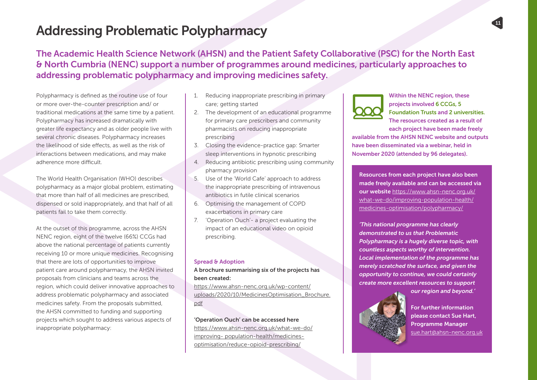## Addressing Problematic Polypharmacy

The Academic Health Science Network (AHSN) and the Patient Safety Collaborative (PSC) for the North East & North Cumbria (NENC) support a number of programmes around medicines, particularly approaches to addressing problematic polypharmacy and improving medicines safety.

Polypharmacy is defined as the routine use of four or more over-the-counter prescription and/ or traditional medications at the same time by a patient. Polypharmacy has increased dramatically with greater life expectancy and as older people live with several chronic diseases. Polypharmacy increases the likelihood of side effects, as well as the risk of interactions between medications, and may make adherence more difficult.

The World Health Organisation (WHO) describes polypharmacy as a major global problem, estimating that more than half of all medicines are prescribed, dispensed or sold inappropriately, and that half of all patients fail to take them correctly.

At the outset of this programme, across the AHSN NENC region, eight of the twelve (66%) CCGs had above the national percentage of patients currently receiving 10 or more unique medicines. Recognising that there are lots of opportunities to improve patient care around polypharmacy, the AHSN invited proposals from clinicians and teams across the region, which could deliver innovative approaches to address problematic polypharmacy and associated medicines safety. From the proposals submitted, the AHSN committed to funding and supporting projects which sought to address various aspects of inappropriate polypharmacy:

- 1. Reducing inappropriate prescribing in primary care; getting started
- 2. The development of an educational programme for primary care prescribers and community pharmacists on reducing inappropriate prescribing
- 3. Closing the evidence-practice gap: Smarter sleep interventions in hypnotic prescribing
- 4. Reducing antibiotic prescribing using community pharmacy provision
- 5. Use of the 'World Cafe' approach to address the inappropriate prescribing of intravenous antibiotics in futile clinical scenarios
- 6. Optimising the management of COPD exacerbations in primary care
- 7. 'Operation Ouch'- a project evaluating the impact of an educational video on opioid prescribing.

#### Spread & Adoption

#### A brochure summarising six of the projects has been created:

https://www.ahsn-nenc.org.uk/wp-content/ uploads/2020/10/MedicinesOptimisation\_Brochure. pdf

'Operation Ouch' can be accessed here https://www.ahsn-nenc.org.uk/what-we-do/ improving- population-health/medicinesoptimisation/reduce-opioid-prescribing/



Within the NENC region, these projects involved 6 CCGs, 5 Foundation Trusts and 2 universities. The resources created as a result of each project have been made freely

available from the AHSN NENC website and outputs have been disseminated via a webinar, held in November 2020 (attended by 96 delegates).

Resources from each project have also been made freely available and can be accessed via our website https://www.ahsn-nenc.org.uk/ what-we-do/improving-population-health/ medicines-optimisation/polypharmacy/

*'This national programme has clearly demonstrated to us that Problematic Polypharmacy is a hugely diverse topic, with countless aspects worthy of intervention. Local implementation of the programme has merely scratched the surface, and given the opportunity to continue, we could certainly create more excellent resources to support* 



*our region and beyond.'* 

For further information please contact Sue Hart, Programme Manager sue.hart@ahsn-nenc.org.uk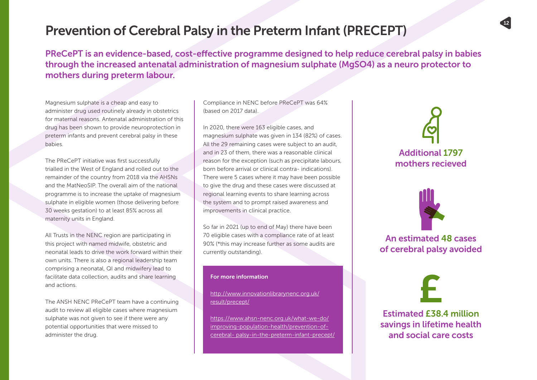### Prevention of Cerebral Palsy in the Preterm Infant (PRECEPT)

PReCePT is an evidence-based, cost-effective programme designed to help reduce cerebral palsy in babies through the increased antenatal administration of magnesium sulphate (MgSO4) as a neuro protector to mothers during preterm labour.

Magnesium sulphate is a cheap and easy to administer drug used routinely already in obstetrics for maternal reasons. Antenatal administration of this drug has been shown to provide neuroprotection in preterm infants and prevent cerebral palsy in these babies.

The PReCePT initiative was first successfully trialled in the West of England and rolled out to the remainder of the country from 2018 via the AHSNs and the MatNeoSIP. The overall aim of the national programme is to increase the uptake of magnesium sulphate in eligible women (those delivering before 30 weeks gestation) to at least 85% across all maternity units in England.

All Trusts in the NENC region are participating in this project with named midwife, obstetric and neonatal leads to drive the work forward within their own units. There is also a regional leadership team comprising a neonatal, QI and midwifery lead to facilitate data collection, audits and share learning and actions.

The ANSH NENC PReCePT team have a continuing audit to review all eligible cases where magnesium sulphate was not given to see if there were any potential opportunities that were missed to administer the drug.

Compliance in NENC before PReCePT was 64% (based on 2017 data).

In 2020, there were 163 eligible cases, and magnesium sulphate was given in 134 (82%) of cases. All the 29 remaining cases were subject to an audit, and in 23 of them, there was a reasonable clinical reason for the exception (such as precipitate labours, born before arrival or clinical contra- indications). There were 5 cases where it may have been possible to give the drug and these cases were discussed at regional learning events to share learning across the system and to prompt raised awareness and improvements in clinical practice.

So far in 2021 (up to end of May) there have been 70 eligible cases with a compliance rate of at least 90% (\*this may increase further as some audits are currently outstanding).

#### For more information

http://www.innovationlibrarynenc.org.uk/ result/precept/

https://www.ahsn-nenc.org.uk/what-we-do/ improving-population-health/prevention-ofcerebral- palsy-in-the-preterm-infant-precept/

# Additional 1797 mothers recieved

 $12$  and  $13$ 

An estimated 48 cases of cerebral palsy avoided

Estimated £38.4 million savings in lifetime health and social care costs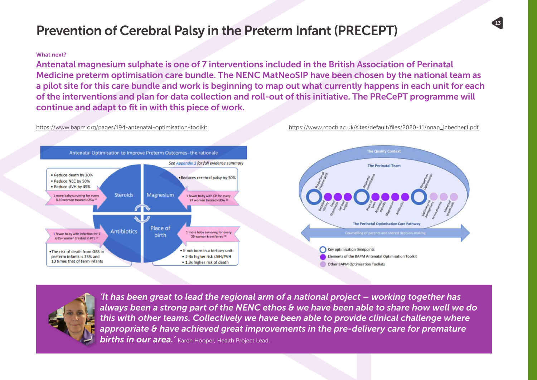## Prevention of Cerebral Palsy in the Preterm Infant (PRECEPT)

#### What next?

Antenatal magnesium sulphate is one of 7 interventions included in the British Association of Perinatal Medicine preterm optimisation care bundle. The NENC MatNeoSIP have been chosen by the national team as a pilot site for this care bundle and work is beginning to map out what currently happens in each unit for each of the interventions and plan for data collection and roll-out of this initiative. The PReCePT programme will continue and adapt to fit in with this piece of work.





*'It has been great to lead the regional arm of a national project – working together has always been a strong part of the NENC ethos & we have been able to share how well we do this with other teams. Collectively we have been able to provide clinical challenge where appropriate & have achieved great improvements in the pre-delivery care for premature*  **births in our area.'** Karen Hooper, Health Project Lead.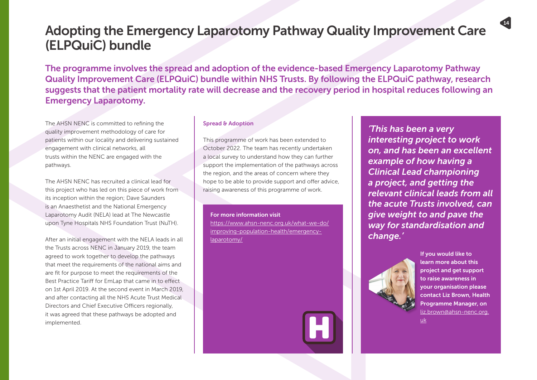### Adopting the Emergency Laparotomy Pathway Quality Improvement Care (ELPQuiC) bundle

The programme involves the spread and adoption of the evidence-based Emergency Laparotomy Pathway Quality Improvement Care (ELPQuiC) bundle within NHS Trusts. By following the ELPQuiC pathway, research suggests that the patient mortality rate will decrease and the recovery period in hospital reduces following an Emergency Laparotomy.

The AHSN NENC is committed to refining the quality improvement methodology of care for patients within our locality and delivering sustained engagement with clinical networks, all trusts within the NENC are engaged with the pathways.

The AHSN NENC has recruited a clinical lead for this project who has led on this piece of work from its inception within the region; Dave Saunders is an Anaesthetist and the National Emergency Laparotomy Audit (NELA) lead at The Newcastle upon Tyne Hospitals NHS Foundation Trust (NuTH).

After an initial engagement with the NELA leads in all the Trusts across NENC in January 2019, the team agreed to work together to develop the pathways that meet the requirements of the national aims and are fit for purpose to meet the requirements of the Best Practice Tariff for EmLap that came in to effect on 1st April 2019. At the second event in March 2019, and after contacting all the NHS Acute Trust Medical Directors and Chief Executive Officers regionally, it was agreed that these pathways be adopted and implemented.

#### Spread & Adoption

This programme of work has been extended to October 2022. The team has recently undertaken a local survey to understand how they can further support the implementation of the pathways across the region, and the areas of concern where they hope to be able to provide support and offer advice, raising awareness of this programme of work.

For more information visit https://www.ahsn-nenc.org.uk/what-we-do/ improving-population-health/emergencylaparotomy/

*'This has been a very interesting project to work on, and has been an excellent example of how having a Clinical Lead championing a project, and getting the relevant clinical leads from all the acute Trusts involved, can give weight to and pave the way for standardisation and change.'*



If you would like to learn more about this project and get support to raise awareness in your organisation please contact Liz Brown, Health Programme Manager, on liz.brown@ahsn-nenc.org.

 $14$  and  $15$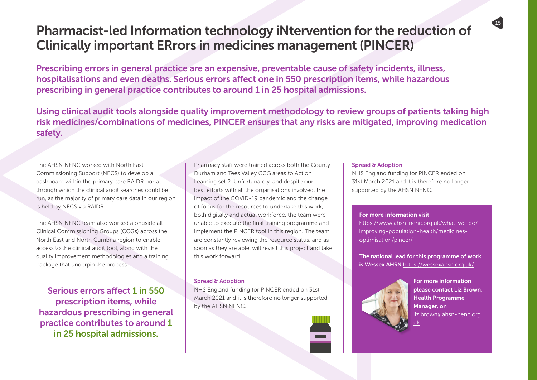### Pharmacist-led Information technology iNtervention for the reduction of Clinically important ERrors in medicines management (PINCER)

Prescribing errors in general practice are an expensive, preventable cause of safety incidents, illness, hospitalisations and even deaths. Serious errors affect one in 550 prescription items, while hazardous prescribing in general practice contributes to around 1 in 25 hospital admissions.

Using clinical audit tools alongside quality improvement methodology to review groups of patients taking high risk medicines/combinations of medicines, PINCER ensures that any risks are mitigated, improving medication safety.

The AHSN NENC worked with North East Commissioning Support (NECS) to develop a dashboard within the primary care RAIDR portal through which the clinical audit searches could be run, as the majority of primary care data in our region is held by NECS via RAIDR.

The AHSN NENC team also worked alongside all Clinical Commissioning Groups (CCGs) across the North East and North Cumbria region to enable access to the clinical audit tool, along with the quality improvement methodologies and a training package that underpin the process.

Serious errors affect 1 in 550 prescription items, while hazardous prescribing in general practice contributes to around 1 in 25 hospital admissions.

Pharmacy staff were trained across both the County Durham and Tees Valley CCG areas to Action Learning set 2. Unfortunately, and despite our best efforts with all the organisations involved, the impact of the COVID-19 pandemic and the change of focus for the resources to undertake this work, both digitally and actual workforce, the team were unable to execute the final training programme and implement the PINCER tool in this region. The team are constantly reviewing the resource status, and as soon as they are able, will revisit this project and take this work forward.

#### Spread & Adoption

NHS England funding for PINCER ended on 31st March 2021 and it is therefore no longer supported by the AHSN NENC.



#### Spread & Adoption

NHS England funding for PINCER ended on 31st March 2021 and it is therefore no longer supported by the AHSN NENC.

#### For more information visit

https://www.ahsn-nenc.org.uk/what-we-do/ improving-population-health/medicinesoptimisation/pincer/

The national lead for this programme of work is Wessex AHSN https://wessexahsn.org.uk/



For more information please contact Liz Brown, Health Programme Manager, on liz.brown@ahsn-nenc.org. <u>uk</u>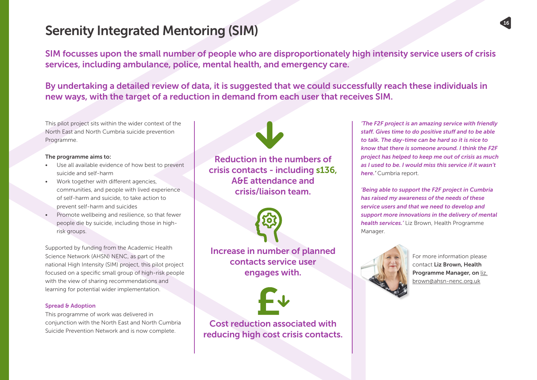### Serenity Integrated Mentoring (SIM)

SIM focusses upon the small number of people who are disproportionately high intensity service users of crisis services, including ambulance, police, mental health, and emergency care.

By undertaking a detailed review of data, it is suggested that we could successfully reach these individuals in new ways, with the target of a reduction in demand from each user that receives SIM.

This pilot project sits within the wider context of the North East and North Cumbria suicide prevention Programme.

#### The programme aims to:

- Use all available evidence of how best to prevent suicide and self-harm
- Work together with different agencies, communities, and people with lived experience of self-harm and suicide, to take action to prevent self-harm and suicides
- Promote wellbeing and resilience, so that fewer people die by suicide, including those in highrisk groups.

Supported by funding from the Academic Health Science Network (AHSN) NENC, as part of the national High Intensity (SIM) project, this pilot project focused on a specific small group of high-risk people with the view of sharing recommendations and learning for potential wider implementation.

#### Spread & Adoption

This programme of work was delivered in conjunction with the North East and North Cumbria Suicide Prevention Network and is now complete.

Reduction in the numbers of crisis contacts - including s136, A&E attendance and crisis/liaison team.



Increase in number of planned contacts service user engages with.



Cost reduction associated with reducing high cost crisis contacts.

*'The F2F project is an amazing service with friendly staff. Gives time to do positive stuff and to be able to talk. The day-time can be hard so it is nice to know that there is someone around. I think the F2F project has helped to keep me out of crisis as much as I used to be. I would miss this service if it wasn't here.'* Cumbria report.

 $16$  and  $17$ 

*'Being able to support the F2F project in Cumbria has raised my awareness of the needs of these service users and that we need to develop and support more innovations in the delivery of mental health services.'* Liz Brown, Health Programme Manager.



For more information please contact Liz Brown, Health Programme Manager, on liz. brown@ahsn-nenc.org.uk